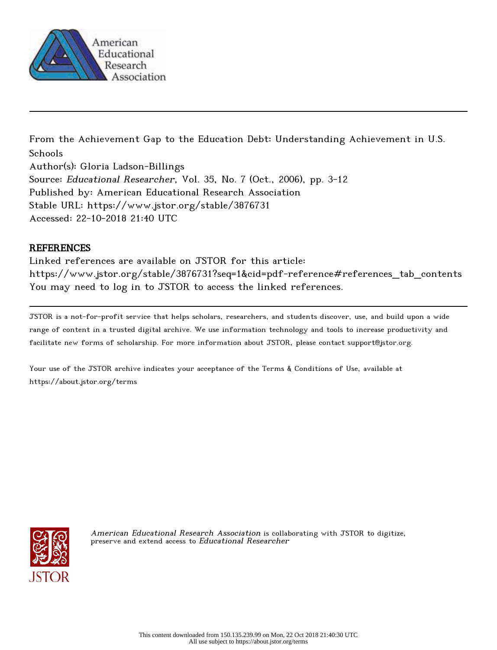

From the Achievement Gap to the Education Debt: Understanding Achievement in U.S. Schools

Author(s): Gloria Ladson-Billings Source: Educational Researcher, Vol. 35, No. 7 (Oct., 2006), pp. 3-12 Published by: American Educational Research Association Stable URL: https://www.jstor.org/stable/3876731 Accessed: 22-10-2018 21:40 UTC

#### REFERENCES

Linked references are available on JSTOR for this article: https://www.jstor.org/stable/3876731?seq=1&cid=pdf-reference#references\_tab\_contents You may need to log in to JSTOR to access the linked references.

JSTOR is a not-for-profit service that helps scholars, researchers, and students discover, use, and build upon a wide range of content in a trusted digital archive. We use information technology and tools to increase productivity and facilitate new forms of scholarship. For more information about JSTOR, please contact support@jstor.org.

Your use of the JSTOR archive indicates your acceptance of the Terms & Conditions of Use, available at https://about.jstor.org/terms



American Educational Research Association is collaborating with JSTOR to digitize, preserve and extend access to Educational Researcher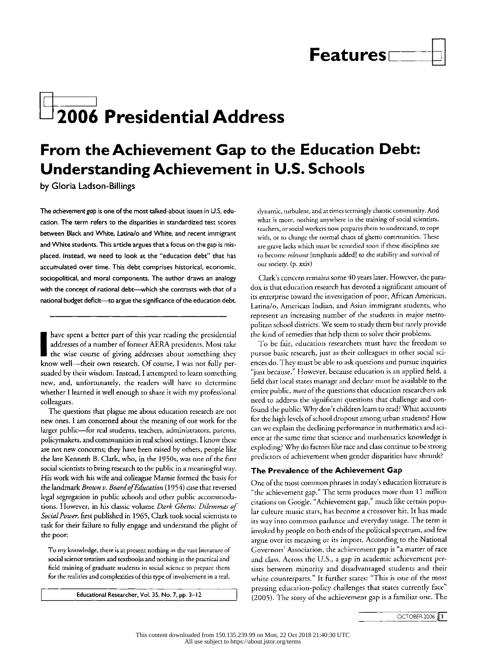## **Features**

# $\overline{-2006}$  Presidential Address

### From the Achievement Gap to the Education Debt: Understanding Achievement in U.S. Schools

by Gloria Ladson-Billings

 The achievement gap is one of the most talked-about issues in U.S. edu cation. The term refers to the disparities in standardized test scores between Black and White, Latina/o and White, and recent immigrant and White students. This article argues that a focus on the gap is mis placed. Instead, we need to look at the "education debt" that has accumulated over time. This debt comprises historical, economic, sociopolitical, and moral components. The author draws an analogy with the concept of national debt-which she contrasts with that of a national budget deficit-to argue the significance of the education debt.

 have spent a better part of this year reading the presidential addresses of a number of former AERA presidents. Most take the wise course of giving addresses about something they know well--their own research. Of course, I was not fully per suaded by their wisdom. Instead, I attempted to learn something new, and, unfortunately, the readers will have to determine whether I learned it well enough to share it with my professional colleagues.

 The questions that plague me about education research are not new ones. I am concerned about the meaning of our work for the larger public-for real students, teachers, administrators, parents, policymakers, and communities in real school settings. I know these are not new concerns; they have been raised by others, people like the late Kenneth B. Clark, who, in the 1950s, was one of the first social scientists to bring research to the public in a meaningful way. His work with his wife and colleague Mamie formed the basis for the landmark Brown v. Board of Education (1954) case that reversed legal segregation in public schools and other public accommoda tions. However, in his classic volume Dark Ghetto: Dilemmas of Social Power, first published in 1965, Clark took social scientists to task for their failure to fully engage and understand the plight of the poor:

 To my knowledge, there is at present nothing in the vast literature of social science treatises and textbooks and nothing in the practical and field training of graduate students in social science to prepare them for the realities and complexities of this type of involvement in a real,

Educational Researcher, Vol. 35, No. 7, pp. 3-12

 dynamic, turbulent, and at times seemingly chaotic community. And what is more, nothing anywhere in the training of social scientists, teachers, or social workers now prepares them to understand, to cope with, or to change the normal chaos of ghetto communities. These are grave lacks which must be remedied soon if these disciplines are to become relevant [emphasis added] to the stability and survival of our society. (p. xxix)

 Clark's concern remains some 40 years later. However, the para dox is that education research has devoted a significant amount of its enterprise toward the investigation of poor, African American, Latina/o, American Indian, and Asian immigrant students, who represent an increasing number of the students in major metro politan school districts. We seem to study them but rarely provide the kind of remedies that help them to solve their problems.

 To be fair, education researchers must have the freedom to pursue basic research, just as their colleagues in other social sci ences do. They must be able to ask questions and pursue inquiries "just because." However, because education is an applied field, a field that local states manage and declare must be available to the entire public, *most* of the questions that education researchers ask need to address the significant questions that challenge and con found the public: Why don't children learn to read? What accounts for the high levels of school dropout among urban students? How can we explain the declining performance in mathematics and sci ence at the same time that science and mathematics knowledge is exploding? Why do factors like race and class continue to be strong predictors of achievement when gender disparities have shrunk?

#### The Prevalence of the Achievement Gap

 One of the most common phrases in today's education literature is "the achievement gap." The term produces more than 11 million citations on Google. "Achievement gap," much like certain popu lar culture music stars, has become a crossover hit. It has made its way into common parlance and everyday usage. The term is invoked by people on both ends of the political spectrum, and few argue over its meaning or its import. According to the National Governors' Association, the achievement gap is "a matter of race and class. Across the U.S., a gap in academic achievement per sists between minority and disadvantaged students and their white counterparts." It further states: "This is one of the most pressing education-policy challenges that states currently face" (2005). The story of the achievement gap is a familiar one. The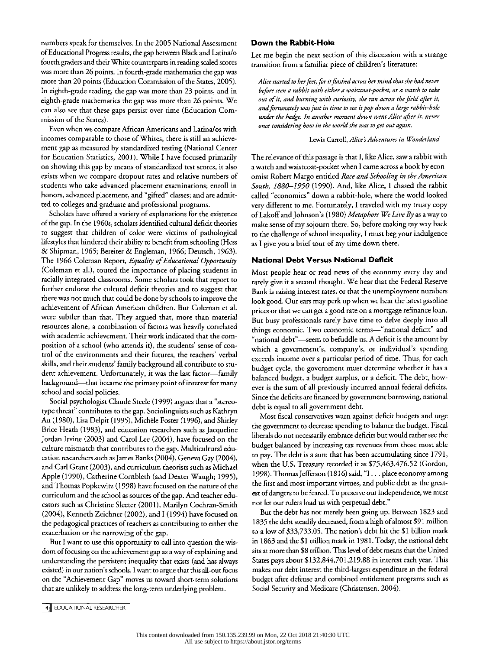numbers speak for themselves. In the 2005 National Assessment of Educational Progress results, the gap between Black and Latina/o fourth graders and their White counterparts in reading scaled scores was more than 26 points. In fourth-grade mathematics the gap was more than 20 points (Education Commission of the States, 2005). In eighth-grade reading, the gap was more than 23 points, and in eighth-grade mathematics the gap was more than 26 points. We can also see that these gaps persist over time (Education Com mission of the States).

 Even when we compare African Americans and Latinalos with incomes comparable to those of Whites, there is still an achieve ment gap as measured by standardized testing (National Center for Education Statistics, 2001). While I have focused primarily on showing this gap by means of standardized test scores, it also exists when we compare dropout rates and relative numbers of students who take advanced placement examinations; enroll in honors, advanced placement, and "gifted" classes; and are admit ted to colleges and graduate and professional programs.

 Scholars have offered a variety of explanations for the existence of the gap. In the 1960s, scholars identified cultural deficit theories to suggest that children of color were victims of pathological lifestyles that hindered their ability to benefit from schooling (Hess & Shipman, 1965; Bereiter & Engleman, 1966; Deutsch, 1963). The 1966 Coleman Report, Equality of Educational Opportunity (Coleman et al.), touted the importance of placing students in racially integrated classrooms. Some scholars took that report to further endorse the cultural deficit theories and to suggest that there was not much that could be done by schools to improve the achievement of African American children. But Coleman et al. were subtler than that. They argued that, more than material resources alone, a combination of factors was heavily correlated with academic achievement. Their work indicated that the com position of a school (who attends it), the students' sense of con trol of the environments and their futures, the teachers' verbal skills, and their students' family background all contribute to stu dent achievement. Unfortunately, it was the last factor-family background—that became the primary point of interest for many school and social policies.

 Social psychologist Claude Steele (1999) argues that a "stereo type threat" contributes to the gap. Sociolinguists such as Kathryn Au (1980), Lisa Delpit (1995), Michele Foster (1996), and Shirley Brice Heath (1983), and education researchers such as Jacqueline Jordan Irvine (2003) and Carol Lee (2004), have focused on the culture mismatch that contributes to the gap. Multicultural edu cation researchers such as James Banks (2004), Geneva Gay (2004), and Carl Grant (2003), and curriculum theorists such as Michael Apple (1990), Catherine Cornbleth (and Dexter Waugh; 1995), and Thomas Popkewitz (1998) have focused on the nature of the curriculum and the school as sources of the gap. And teacher edu cators such as Christine Sleeter (2001), Marilyn Cochran-Smith (2004), Kenneth Zeichner (2002), and I (1994) have focused on the pedagogical practices of teachers as contributing to either the exacerbation or the narrowing of the gap.

 But I want to use this opportunity to call into question the wis dom of focusing on the achievement gap as a way of explaining and understanding the persistent inequality that exists (and has always existed) in our nation's schools. I want to argue that this all-out focus on the "Achievement Gap" moves us toward short-term solutions that are unlikely to address the long-term underlying problem.

#### Down the Rabbit-Hole

 Let me begin the next section of this discussion with a strange transition from a familiar piece of children's literature:

Alice started to her feet, for it flashed across her mind that she had never before seen a rabbit with either a waistcoat-pocket, or a watch to take out of it, and burning with curiosity, she ran across the field after it, and fortunately was just in time to see it pop down a large rabbit-hole under the hedge. In another moment down went Alice after it, never once considering how in the world she was to get out again.

#### Lewis Carroll, Alice's Adventures in Wonderland

 The relevance of this passage is that I, like Alice, saw a rabbit with a watch and waistcoat-pocket when I came across a book by econ omist Robert Margo entitled Race and Schooling in the American South, 1880-1950 (1990). And, like Alice, I chased the rabbit called "economics" down a rabbit-hole, where the world looked very different to me. Fortunately, I traveled with my trusty copy of Lakoff and Johnson's (1980) Metaphors We Live By as a way to make sense of my sojourn there. So, before making my way back to the challenge of school inequality, I must beg your indulgence as I give you a brief tour of my time down there.

#### National Debt Versus National Deficit

 Most people hear or read news of the economy every day and rarely give it a second thought. We hear that the Federal Reserve Bank is raising interest rates, or that the unemployment numbers look good. Our ears may perk up when we hear the latest gasoline prices or that we can get a good rate on a mortgage refinance loan. But busy professionals rarely have time to delve deeply into all things economic. Two economic terms—"national deficit" and "national debt"-seem to befuddle us. A deficit is the amount by which a government's, company's, or individual's spending exceeds income over a particular period of time. Thus, for each budget cycle, the government must determine whether it has a balanced budget, a budget surplus, or a deficit. The debt, how ever is the sum of all previously incurred annual federal deficits. Since the deficits are financed by government borrowing, national debt is equal to all government debt.

 Most fiscal conservatives warn against deficit budgets and urge the government to decrease spending to balance the budget. Fiscal liberals do not necessarily embrace deficits but would rather see the budget balanced by increasing tax revenues from those most able to pay. The debt is a sum that has been accumulating since 1791, when the U.S. Treasury recorded it as \$75,463,476.52 (Gordon, 1998). Thomas Jefferson (1816) said, "I... place economy among the first and most important virtues, and public debt as the great est of dangers to be feared. To preserve our independence, we must not let our rulers load us with perpetual debt."

 But the debt has not merely been going up. Between 1823 and 1835 the debt steadily decreased, from a high of almost \$91 million to a low of \$33,733.05. The nation's debt hit the \$1 billion mark in 1863 and the \$1 trillion mark in 1981. Today, the national debt sits at more than \$8 trillion. This level of debt means that the United States pays about \$132,844,701,219.88 in interest each year. This makes our debt interest the third-largest expenditure in the federal budget after defense and combined entitlement programs such as Social Security and Medicare (Christensen, 2004).

**<sup>4</sup>** EDUCATIONAL RESEARCHER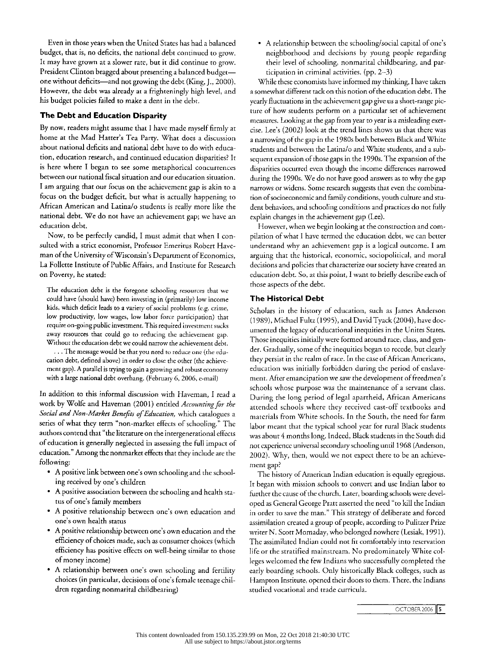Even in those years when the United States has had a balanced budget, that is, no deficits, the national debt continued to grow. It may have grown at a slower rate, but it did continue to grow. President Clinton bragged about presenting a balanced budget one without deficits-and not growing the debt (King, J., 2000). However, the debt was already at a frighteningly high level, and his budget policies failed to make a dent in the debt.

#### The Debt and Education Disparity

 By now, readers might assume that I have made myself firmly at home at the Mad Hatter's Tea Party. What does a discussion about national deficits and national debt have to do with educa tion, education research, and continued education disparities? It is here where I began to see some metaphorical concurrences between our national fiscal situation and our education situation. I am arguing that our focus on the achievement gap is akin to a focus on the budget deficit, but what is actually happening to African American and Latina/o students is really more like the national debt. We do not have an achievement gap; we have an education debt.

 Now, to be perfectly candid, I must admit that when I con sulted with a strict economist, Professor Emeritus Robert Have man of the University of Wisconsin's Department of Economics, La Follette Institute of Public Affairs, and Institute for Research on Poverty, he stated:

 The education debt is the foregone schooling resources that we could have (should have) been investing in (primarily) low income kids, which deficit leads to a variety of social problems (e.g. crime, low productivity, low wages, low labor force participation) that require on-going public investment. This required investment sucks away resources that could go to reducing the achievement gap. Without the education debt we could narrow the achievement debt. ... The message would be that you need to reduce one (the edu cation debt, defined above) in order to close the other (the achieve ment gap). A parallel is trying to gain a growing and robust economy with a large national debt overhang. (February 6, 2006, e-mail)

 In addition to this informal discussion with Haveman, I read a work by Wolfe and Haveman (2001) entitled Accounting for the Social and Non-Market Benefits of Education, which catalogues a series of what they term "non-market effects of schooling." The authors contend that "the literature on the intergenerational effects of education is generally neglected in assessing the full impact of education." Among the nonmarket effects that they include are the following:

- \* A positive link between one's own schooling and the school ing received by one's children
- \* A positive association between the schooling and health sta tus of one's family members
- \* A positive relationship between one's own education and one's own health status
- A positive relationship between one's own education and the efficiency of choices made, such as consumer choices (which efficiency has positive effects on well-being similar to those of money income)
- A relationship between one's own schooling and fertility choices (in particular, decisions of one's female teenage chil dren regarding nonmarital childbearing)

 \* A relationship between the schooling/social capital of one's neighborhood and decisions by young people regarding their level of schooling, nonmarital childbearing, and par ticipation in criminal activities. (pp. 2-3)

 While these economists have informed my thinking, I have taken a somewhat different tack on this notion of the education debt. The yearly fluctuations in the achievement gap give us a short-range pic ture of how students perform on a particular set of achievement measures. Looking at the gap from year to year is a misleading exer cise. Lee's (2002) look at the trend lines shows us that there was a narrowing of the gap in the 1980s both between Black and White students and between the Latina/o and White students, and a sub sequent expansion of those gaps in the 1990s. The expansion of the disparities occurred even though the income differences narrowed during the 1990s. We do not have good answers as to why the gap narrows or widens. Some research suggests that even the combina tion of socioeconomic and family conditions, youth culture and stu dent behaviors, and schooling conditions and practices do not fully explain changes in the achievement gap (Lee).

 However, when we begin looking at the construction and com pilation of what I have termed the education debt, we can better understand why an achievement gap is a logical outcome. I am arguing that the historical, economic, sociopolitical, and moral decisions and policies that characterize our society have created an education debt. So, at this point, I want to briefly describe each of those aspects of the debt.

#### The Historical Debt

 Scholars in the history of education, such as James Anderson (1989), Michael Fultz (1995), and David Tyack (2004), have doc umented the legacy of educational inequities in the Unites States. Those inequities initially were formed around race, class, and gen der. Gradually, some of the inequities began to recede, but clearly they persist in the realm of race. In the case of African Americans, education was initially forbidden during the period of enslave ment. After emancipation we saw the development of freedmen's schools whose purpose was the maintenance of a servant class. During the long period of legal apartheid, African Americans attended schools where they received cast-off textbooks and materials from White schools. In the South, the need for farm labor meant that the typical school year for rural Black students was about 4 months long. Indeed, Black students in the South did not experience universal secondary schooling until 1968 (Anderson, 2002). Why, then, would we not expect there to be an achieve ment gap?

 The history of American Indian education is equally egregious. It began with mission schools to convert and use Indian labor to further the cause of the church. Later, boarding schools were devel oped as General George Pratt asserted the need "to kill the Indian in order to save the man." This strategy of deliberate and forced assimilation created a group of people, according to Pulitzer Prize writer N. Scott Momaday, who belonged nowhere (Lesiak, 1991). The assimilated Indian could not fit comfortably into reservation life or the stratified mainstream. No predominately White col leges welcomed the few Indians who successfully completed the early boarding schools. Only historically Black colleges, such as Hampton Institute, opened their doors to them. There, the Indians studied vocational and trade curricula.

OCTOBER 2006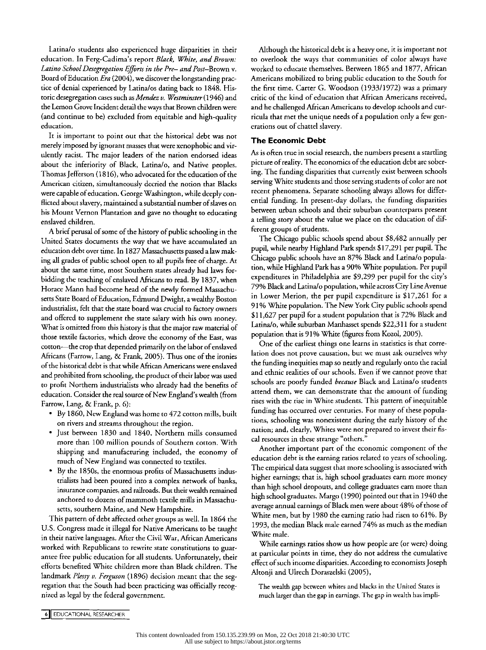Latina/o students also experienced huge disparities in their education. In Ferg-Cadima's report Black, White, and Brown: Latino School Desegregation Efforts in the Pre- and Post-Brown v. Board of Education Era (2004), we discover the longstanding prac tice of denial experienced by Latina/os dating back to 1848. His toric desegregation cases such as Mendez v. Westminster (1946) and the Lemon Grove Incident detail the ways that Brown children were (and continue to be) excluded from equitable and high-quality education.

 It is important to point out that the historical debt was not merely imposed by ignorant masses that were xenophobic and vir ulently racist. The major leaders of the nation endorsed ideas about the inferiority of Black, Latina/o, and Native peoples. Thomas Jefferson (1816), who advocated for the education of the American citizen, simultaneously decried the notion that Blacks were capable of education. George Washington, while deeply con flicted about slavery, maintained a substantial number of slaves on his Mount Vernon Plantation and gave no thought to educating enslaved children.

 A brief perusal of some of the history of public schooling in the United States documents the way that we have accumulated an education debt over time. In 1827 Massachusetts passed a law mak ing all grades of public school open to all pupils free of charge. At about the same time, most Southern states already had laws for bidding the teaching of enslaved Africans to read. By 1837, when Horace Mann had become head of the newly formed Massachu setts State Board of Education, Edmund Dwight, a wealthy Boston industrialist, felt that the state board was crucial to factory owners and offered to supplement the state salary with his own money. What is omitted from this history is that the major raw material of those textile factories, which drove the economy of the East, was cotton-the crop that depended primarily on the labor of enslaved Africans (Farrow, Lang, & Frank, 2005). Thus one of the ironies of the historical debt is that while African Americans were enslaved and prohibited from schooling, the product of their labor was used to profit Northern industrialists who already had the benefits of education. Consider the real source of New England's wealth (from Farrow, Lang, & Frank, p. 6):

- \* By 1860, New England was home to 472 cotton mills, built on rivers and streams throughout the region.
- Just between 1830 and 1840, Northern mills consumed more than 100 million pounds of Southern cotton. With shipping and manufacturing included, the economy of much of New England was connected to textiles.
- By the 1850s, the enormous profits of Massachusetts indus trialists had been poured into a complex network of banks, insurance companies, and railroads. But their wealth remained anchored to dozens of mammoth textile mills in Massachu setts, southern Maine, and New Hampshire.

 This pattern of debt affected other groups as well. In 1864 the U.S. Congress made it illegal for Native Americans to be taught in their native languages. After the Civil War, African Americans worked with Republicans to rewrite state constitutions to guar antee free public education for all students. Unfortunately, their efforts benefited White children more than Black children. The landmark Plessy v. Ferguson (1896) decision meant that the seg regation that the South had been practicing was officially recog nized as legal by the federal government.

 Although the historical debt is a heavy one, it is important not to overlook the ways that communities of color always have worked to educate themselves. Between 1865 and 1877, African Americans mobilized to bring public education to the South for the first time. Carter G. Woodson (1933/1972) was a primary critic of the kind of education that African Americans received, and he challenged African Americans to develop schools and cur ricula that met the unique needs of a population only a few gen erations out of chattel slavery.

#### The Economic Debt

 As is often true in social research, the numbers present a startling picture of reality. The economics of the education debt are sober ing. The funding disparities that currently exist between schools serving White students and those serving students of color are not recent phenomena. Separate schooling always allows for differ ential funding. In present-day dollars, the funding disparities between urban schools and their suburban counterparts present a telling story about the value we place on the education of dif ferent groups of students.

 The Chicago public schools spend about \$8,482 annually per pupil, while nearby Highland Park spends \$17,291 per pupil. The Chicago public schools have an 87% Black and Latina/o popula tion, while Highland Park has a 90% White population. Per pupil expenditures in Philadelphia are \$9,299 per pupil for the city's 79% Black and Latina/o population, while across City Line Avenue in Lower Merion, the per pupil expenditure is \$17,261 for a 91% White population. The New York City public schools spend \$11,627 per pupil for a student population that is 72% Black and Latina/o, while suburban Manhasset spends \$22,311 for a student population that is 91% White (figures from Kozol, 2005).

 One of the earliest things one learns in statistics is that corre lation does not prove causation, but we must ask ourselves why the funding inequities map so neatly and regularly onto the racial and ethnic realities of our schools. Even if we cannot prove that schools are poorly funded *because* Black and Latina/o students attend them, we can demonstrate that the amount of funding rises with the rise in White students. This pattern of inequitable funding has occurred over centuries. For many of these popula tions, schooling was nonexistent during the early history of the nation; and, clearly, Whites were not prepared to invest their fis cal resources in these strange "others."

 Another important part of the economic component of the education debt is the earning ratios related to years of schooling. The empirical data suggest that more schooling is associated with higher earnings; that is, high school graduates earn more money than high school dropouts, and college graduates earn more than high school graduates. Margo (1990) pointed out that in 1940 the average annual earnings of Black men were about 48% of those of White men, but by 1980 the earning ratio had risen to 61%. By 1993, the median Black male earned 74% as much as the median White male.

 While earnings ratios show us how people are (or were) doing at particular points in time, they do not address the cumulative effect of such income disparities. According to economists Joseph Altonji and Ulrech Doraszelski (2005),

 The wealth gap between whites and blacks in the United States is much larger than the gap in earnings. The gap in wealth has impli-

<sup>6</sup> EDUCATIONAL RESEARCHER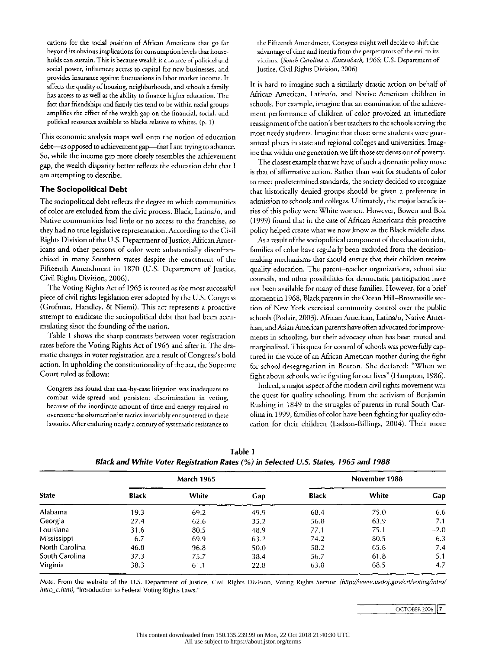cations for the social position of African Americans that go far beyond its obvious implications for consumption levels that house holds can sustain. This is because wealth is a source of political and social power, influences access to capital for new businesses, and provides insurance against fluctuations in labor market income. It affects the quality of housing, neighborhoods, and schools a family has access to as well as the ability to finance higher education. The fact that friendships and family ties tend to be within racial groups amplifies the effect of the wealth gap on the financial, social, and political resources available to blacks relative to whites. (p. 1)

 This economic analysis maps well onto the notion of education debt--as opposed to achievement gap--that I am trying to advance. So, while the income gap more closely resembles the achievement gap, the wealth disparity better reflects the education debt that I am attempting to describe.

#### The Sociopolitical Debt

 The sociopolitical debt reflects the degree to which communities of color are excluded from the civic process. Black, Latina/o, and Native communities had little or no access to the franchise, so they had no true legislative representation. According to the Civil Rights Division of the U.S. Department ofJustice, African Amer icans and other persons of color were substantially disenfran chised in many Southern states despite the enactment of the Fifteenth Amendment in 1870 (U.S. Department of Justice, Civil Rights Division, 2006).

 The Voting Rights Act of 1965 is touted as the most successful piece of civil rights legislation ever adopted by the U.S. Congress (Grofman, Handley, & Niemi). This act represents a proactive attempt to eradicate the sociopolitical debt that had been accu mulating since the founding of the nation.

 Table 1 shows the sharp contrasts between voter registration rates before the Voting Rights Act of 1965 and after it. The dra matic changes in voter registration are a result of Congress's bold action. In upholding the constitutionality of the act, the Supreme Court ruled as follows:

 Congress has found that case-by-case litigation was inadequate to combat wide-spread and persistent discrimination in voting, because of the inordinate amount of time and energy required to overcome the obstructionist tactics invariably encountered in these lawsuits. After enduring nearly a century of systematic resistance to

 the Fifteenth Amendment, Congress might well decide to shift the advantage of time and inertia from the perpetrators of the evil to its victims. (South Carolina v. Katzenbach, 1966; U.S. Department of Justice, Civil Rights Division, 2006)

 It is hard to imagine such a similarly drastic action on behalf of African American, Latina/o, and Native American children in schools. For example, imagine that an examination of the achieve ment performance of children of color provoked an immediate reassignment of the nation's best teachers to the schools serving the most needy students. Imagine that those same students were guar anteed places in state and regional colleges and universities. Imag ine that within one generation we lift those students out of poverty.

 The closest example that we have of such a dramatic policy move is that of affirmative action. Rather than wait for students of color to meet predetermined standards, the society decided to recognize that historically denied groups should be given a preference in admission to schools and colleges. Ultimately, the major beneficia ries of this policy were White women. However, Bowen and Bok (1999) found that in the case of African Americans this proactive policy helped create what we now know as the Black middle class.

 As a result of the sociopolitical component of the education debt, families of color have regularly been excluded from the decision making mechanisms that should ensure that their children receive quality education. The parent-teacher organizations, school site councils, and other possibilities for democratic participation have not been available for many of these families. However, for a brief moment in 1968, Black parents in the Ocean Hill-Brownsville sec tion of New York exercised community control over the public schools (Podair, 2003). African American, Latina/o, Native Amer ican, and Asian American parents have often advocated for improve ments in schooling, but their advocacy often has been muted and marginalized. This quest for control of schools was powerfully cap tured in the voice of an African American mother during the fight for school desegregation in Boston. She declared: "When we fight about schools, we're fighting for our lives" (Hampton, 1986).

 Indeed, a major aspect of the modern civil rights movement was the quest for quality schooling. From the activism of Benjamin Rushing in 1849 to the struggles of parents in rural South Car olina in 1999, families of color have been fighting for quality edu cation for their children (Ladson-Billings, 2004). Their more

| <b>State</b>   | <b>March 1965</b> |       |      | November 1988 |       |        |
|----------------|-------------------|-------|------|---------------|-------|--------|
|                | <b>Black</b>      | White | Gap  | <b>Black</b>  | White | Gap    |
| Alabama        | 19.3              | 69.2  | 49.9 | 68.4          | 75.0  | 6.6    |
| Georgia        | 27.4              | 62.6  | 35.2 | 56.8          | 63.9  | 7.1    |
| Louisiana      | 31.6              | 80.5  | 48.9 | 77.1          | 75.1  | $-2.0$ |
| Mississippi    | 6.7               | 69.9  | 63.2 | 74.2          | 80.5  | 6.3    |
| North Carolina | 46.8              | 96.8  | 50.0 | 58.2          | 65.6  | 7,4    |
| South Carolina | 37.3              | 75.7  | 38.4 | 56.7          | 61.8  | 5.1    |
| Virginia       | 38.3              | 61.1  | 22.8 | 63.8          | 68.5  | 4.7    |

 Table 1 Black and White Voter Registration Rates (%) in Selected U.S. States, 1965 and 1988

Note. From the website of the U.S. Department of Justice, Civil Rights Division, Voting Rights Section (http://www.usdoj.gov/crt/voting/intro/ Note. From the website of the U.S. Department of Justice, Civil Rights Division, Voting Rights Section *(http://www.usdoj.gov/crt/voting/intro/*<br>intro\_c.htm), "Introduction to Federal Voting Rights Laws."

OCTOBER 2006 7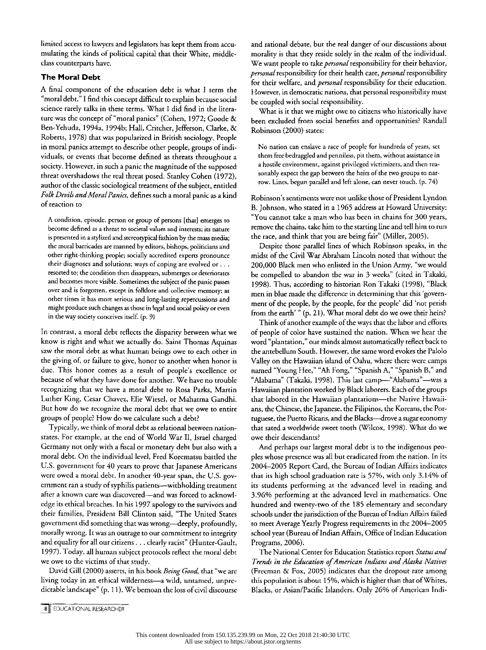limited access to lawyers and legislators has kept them from accu mulating the kinds of political capital that their White, middle class counterparts have.

#### The Moral Debt

 A final component of the education debt is what I term the "moral debt." I find this concept difficult to explain because social science rarely talks in these terms. What I did find in the litera ture was the concept of "moral panics" (Cohen, 1972; Goode & Ben-Yehuda, 1994a, 1994b; Hall, Critcher, Jefferson, Clarke, & Roberts, 1978) that was popularized in British sociology. People in moral panics attempt to describe other people, groups of indi viduals, or events that become defined as threats throughout a society. However, in such a panic the magnitude of the supposed threat overshadows the real threat posed. Stanley Cohen (1972), author of the classic sociological treatment of the subject, entitled Folk Devils and Moral Panics, defines such a moral panic as a kind of reaction to

 A condition, episode, person or group of persons [that] emerges to become defined as a threat to societal values and interests; its nature is presented in a stylized and stereotypical fashion by the mass media; the moral barricades are manned by editors, bishops, politicians and other right-thinking people; socially accredited experts pronounce their diagnoses and solutions; ways of coping are evolved or ... resorted to; the condition then disappears, submerges or deteriorates and becomes more visible. Sometimes the subject of the panic passes over and is forgotten, except in folklore and collective memory; at other times it has more serious and long-lasting repercussions and might produce such changes as those in legal and social policy or even in the way society conceives itself. (p. 9)

 In contrast, a moral debt reflects the disparity between what we know is right and what we actually do. Saint Thomas Aquinas saw the moral debt as what human beings owe to each other in the giving of, or failure to give, honor to another when honor is due. This honor comes as a result of people's excellence or because of what they have done for another. We have no trouble recognizing that we have a moral debt to Rosa Parks, Martin Luther King, Cesar Chavez, Elie Wiesel, or Mahatma Gandhi. But how do we recognize the moral debt that we owe to entire groups of people? How do we calculate such a debt?

 Typically, we think of moral debt as relational between nation states. For example, at the end of World War II, Israel charged Germany not only with a fiscal or monetary debt but also with a moral debt. On the individual level, Fred Korematsu battled the U.S. government for 40 years to prove that Japanese Americans were owed a moral debt. In another 40-year span, the U.S. gov ernment ran a study of syphilis patients-withholding treatment after a known cure was discovered-and was forced to acknowl edge its ethical breaches. In his 1997 apology to the survivors and their families, President Bill Clinton said, "The United States government did something that was wrong-deeply, profoundly, morally wrong. It was an outrage to our commitment to integrity and equality for all our citizens . .. clearly racist" (Hunter-Gault, 1997). Today, all human subject protocols reflect the moral debt we owe to the victims of that study.

 David Gill (2000) asserts, in his book Being Good, that "we are living today in an ethical wilderness-a wild, untamed, unpre dictable landscape" (p. 11). We bemoan the loss of civil discourse

 What is it that we might owe to citizens who historically have been excluded from social benefits and opportunities? Randall Robinson (2000) states:

 No nation can enslave a race of people for hundreds of years, set them free bedraggled and penniless, pit them, without assistance in a hostile environment, against privileged victimizers, and then rea sonably expect the gap between the heirs of the two groups to nar row. Lines, begun parallel and left alone, can never touch. (p. 74)

 Robinson's sentiments were not unlike those of President Lyndon B. Johnson, who stated in a 1965 address at Howard University: "You cannot take a man who has been in chains for 300 years, remove the chains, take him to the starting line and tell him to run the race, and think that you are being fair" (Miller, 2005).

 Despite those parallel lines of which Robinson speaks, in the midst of the Civil War Abraham Lincoln noted that without the 200,000 Black men who enlisted in the Union Army, "we would be compelled to abandon the war in 3 weeks" (cited in Takaki, 1998). Thus, according to historian Ron Takaki (1998), "Black men in blue made the difference in determining that this 'govern ment of the people, by the people, for the people' did 'not perish from the earth' " (p. 21). What moral debt do we owe their heirs?

 Think of another example of the ways that the labor and efforts of people of color have sustained the nation. When we hear the word "plantation," our minds almost automatically reflect back to the antebellum South. However, the same word evokes the Palolo Valley on the Hawaiian island of Oahu, where there were camps named "Young Hee," "Ah Fong," "Spanish A," "Spanish B," and "Alabama" (Takaki, 1998). This last camp-"Alabama"-was a Hawaiian plantation worked by Black laborers. Each of the groups that labored in the Hawaiian plantations--the Native Hawaii ans, the Chinese, the Japanese, the Filipinos, the Koreans, the Por tuguese, the Puerto Ricans, and the Blacks--drove a sugar economy that sated a worldwide sweet tooth (Wilcox, 1998). What do we owe their descendants?

 And perhaps our largest moral debt is to the indigenous peo ples whose presence was all but eradicated from the nation. In its 2004-2005 Report Card, the Bureau of Indian Affairs indicates that its high school graduation rate is 57%, with only 3.14% of its students performing at the advanced level in reading and 3.96% performing at the advanced level in mathematics. One hundred and twenty-two of the 185 elementary and secondary schools under the jurisdiction of the Bureau of Indian Affairs failed to meet Average Yearly Progress requirements in the 2004-2005 school year (Bureau of Indian Affairs, Office of Indian Education Programs, 2006).

 The National Center for Education Statistics report Status and Trends in the Education of American Indians and Alaska Natives (Freeman & Fox, 2005) indicates that the dropout rate among this population is about 15%, which is higher than that ofWhites, Blacks, or Asian/Pacific Islanders. Only 26% of American Indi-

and rational debate, but the real danger of our discussions about morality is that they reside solely in the realm of the individual. We want people to take *personal* responsibility for their behavior, personal responsibility for their health care, personal responsibility for their welfare, and *personal* responsibility for their education. However, in democratic nations, that personal responsibility must be coupled with social responsibility.

**B** EDUCATIONAL RESEARCHER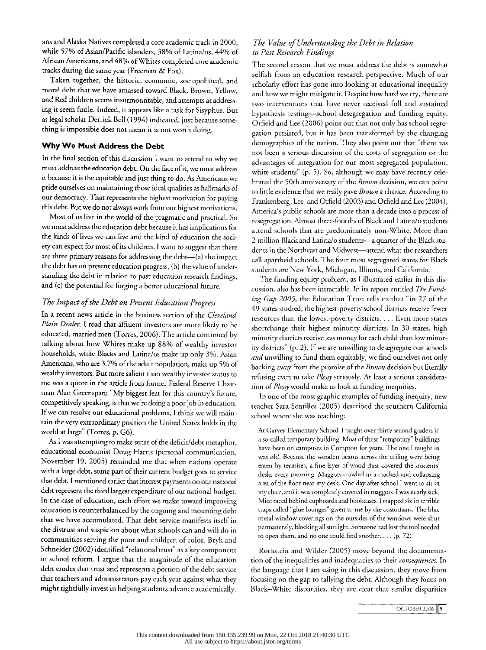ans and Alaska Natives completed a core academic track in 2000, while 57% of Asian/Pacific islanders, 38% of Latina/os, 44% of African Americans, and 48% of Whites completed core academic tracks during the same year (Freeman & Fox).

 Taken together, the historic, economic, sociopolitical, and moral debt that we have amassed toward Black, Brown, Yellow, and Red children seems insurmountable, and attempts at address ing it seem futile. Indeed, it appears like a task for Sisyphus. But as legal scholar Derrick Bell (1994) indicated, just because some thing is impossible does not mean it is not worth doing.

#### Why We Must Address the Debt

 In the final section of this discussion I want to attend to why we must address the education debt. On the face of it, we must address it because it is the equitable and just thing to do. As Americans we pride ourselves on maintaining those ideal qualities as hallmarks of our democracy. That represents the highest motivation for paying this debt. But we do not always work from our highest motivations.

 Most of us live in the world of the pragmatic and practical. So we must address the education debt because it has implications for the kinds of lives we can live and the kind of education the soci ety can expect for most of its children. I want to suggest that there are three primary reasons for addressing the debt- $(a)$  the impact the debt has on present education progress, (b) the value of under standing the debt in relation to past education research findings, and (c) the potential for forging a better educational future.

#### The Impact of the Debt on Present Education Progress

In a recent news article in the business section of the Cleveland Plain Dealer, I read that affluent investors are more likely to be educated, married men (Torres, 2006). The article continued by talking about how Whites make up 88% of wealthy investor households, while Blacks and Latina/os make up only 3%. Asian Americans, who are 3.7% of the adult population, make up 5% of wealthy investors. But more salient than wealthy investor status to me was a quote in the article from former Federal Reserve Chair man Alan Greenspan: "My biggest fear for this country's future, competitively speaking, is that we're doing a poor job in education. If we can resolve our educational problems, I think we will main tain the very extraordinary position the United States holds in the world at large" (Torres, p. G6).

 As I was attempting to make sense of the deficit/debt metaphor, educational economist Doug Harris (personal communication, November 19, 2005) reminded me that when nations operate with a large debt, some part of their current budget goes to service that debt. I mentioned earlier that interest payments on our national debt represent the third largest expenditure of our national budget. In the case of education, each effort we make toward improving education is counterbalanced by the ongoing and mounting debt that we have accumulated. That debt service manifests itself in the distrust and suspicion about what schools can and will do in communities serving the poor and children of color. Bryk and Schneider (2002) identified "relational trust" as a key component in school reform. I argue that the magnitude of the education debt erodes that trust and represents a portion of the debt service that teachers and administrators pay each year against what they might rightfully invest in helping students advance academically.

#### The Value of Understanding the Debt in Relation to Past Research Findings

 The second reason that we must address the debt is somewhat selfish from an education research perspective. Much of our scholarly effort has gone into looking at educational inequality and how we might mitigate it. Despite how hard we try, there are two interventions that have never received full and sustained hypothesis testing-school desegregation and funding equity. Orfield and Lee (2006) point out that not only has school segre gation persisted, but it has been transformed by the changing demographics of the nation. They also point out that "there has not been a serious discussion of the costs of segregation or the advantages of integration for our most segregated population, white students" (p. 5). So, although we may have recently cele brated the 50th anniversary of the Brown decision, we can point to little evidence that we really gave Brown a chance. According to Frankenberg, Lee, and Orfield (2003) and Orfield and Lee (2004), America's public schools are more than a decade into a process of resegregation. Almost three-fourths of Black and Latina/o students attend schools that are predominately non-White. More than 2 million Black and Latina/o students-a quarter of the Black stu dents in the Northeast and Midwest-attend what the researchers call apartheid schools. The four most segregated states for Black students are New York, Michigan, Illinois, and California.

 The funding equity problem, as I illustrated earlier in this dis cussion, also has been intractable. In its report entitled The Fund ing Gap 2005, the Education Trust tells us that "in 27 of the 49 states studied, the highest-poverty school districts receive fewer resources than the lowest-poverty districts .... Even more states shortchange their highest minority districts. In 30 states, high minority districts receive less money for each child than low minor ity districts" (p. 2). If we are unwilling to desegregate our schools and unwilling to fund them equitably, we find ourselves not only backing away from the promise of the Brown decision but literally refusing even to take Plessy seriously. At least a serious consideration of Plessy would make us look at funding inequities.

 In one of the most graphic examples of funding inequity, new teacher Sara Sentilles (2005) described the southern California school where she was teaching:

 At Garvey Elementary School, I taught over thirty second graders in a so-called temporary building. Most of these "temporary" buildings have been on campuses in Compton for years. The one I taught in was old. Because the wooden beams across the ceiling were being eaten by termites, a fine layer of wood dust covered the students desks every morning. Maggots crawled in a cracked and collapsing area of the floor near my desk. One day after school I went to sit in my chair, and it was completely covered in maggots. I was nearly sick. Mice raced behind cupboards and bookcases. I trapped six in terrible traps called "glue lounges" given to me by the custodians. The blue metal window coverings on the outsides of the windows were shut permanently, blocking all sunlight. Someone had lost the tool needed to open them, and no one could find another.... (p. 72)

 Rothstein and Wilder (2005) move beyond the documenta tion of the inequalities and inadequacies to their consequences. In the language that I am using in this discussion, they move from focusing on the gap to tallying the debt. Although they focus on Black-White disparities, they are clear that similar disparities

OCTOBER 2006 9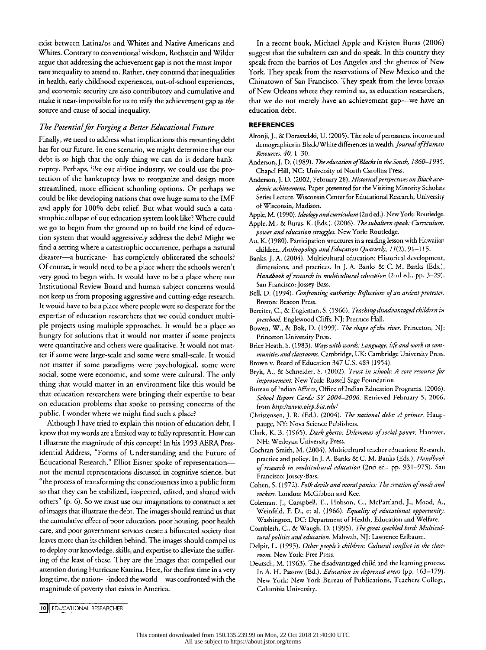exist between Latina/os and Whites and Native Americans and Whites. Contrary to conventional wisdom, Rothstein and Wilder argue that addressing the achievement gap is not the most impor tant inequality to attend to. Rather, they contend that inequalities in health, early childhood experiences, out-of-school experiences, and economic security are also contributory and cumulative and make it near-impossible for us to reify the achievement gap as the source and cause of social inequality.

#### The Potential for Forging a Better Educational Future

 Finally, we need to address what implications this mounting debt has for our future. In one scenario, we might determine that our debt is so high that the only thing we can do is declare bank ruptcy. Perhaps, like our airline industry, we could use the pro tection of the bankruptcy laws to reorganize and design more streamlined, more efficient schooling options. Or perhaps we could be like developing nations that owe huge sums to the IMF and apply for 100% debt relief. But what would such a cata strophic collapse of our education system look like? Where could we go to begin from the ground up to build the kind of educa tion system that would aggressively address the debt? Might we find a setting where a catastrophic occurrence, perhaps a natural disaster-a hurricane-has completely obliterated the schools? Of course, it would need to be a place where the schools weren't very good to begin with. It would have to be a place where our Institutional Review Board and human subject concerns would not keep us from proposing aggressive and cutting-edge research. It would have to be a place where people were so desperate for the expertise of education researchers that we could conduct multi ple projects using multiple approaches. It would be a place so hungry for solutions that it would not matter if some projects were quantitative and others were qualitative. It would not mat ter if some were large-scale and some were small-scale. It would not matter if some paradigms were psychological, some were social, some were economic, and some were cultural. The only thing that would matter in an environment like this would be that education researchers were bringing their expertise to bear on education problems that spoke to pressing concerns of the public. I wonder where we might find such a place?

 Although I have tried to explain this notion of education debt, I know that my words are a limited way to fully represent it. How can I illustrate the magnitude of this concept? In his 1993 AERA Pres idential Address, "Forms of Understanding and the Future of Educational Research," Elliot Eisner spoke of representation not the mental representations discussed in cognitive science, but "the process of transforming the consciousness into a public form so that they can be stabilized, inspected, edited, and shared with others" (p. 6). So we must use our imaginations to construct a set of images that illustrate the debt. The images should remind us that the cumulative effect of poor education, poor housing, poor health care, and poor government services create a bifurcated society that leaves more than its children behind. The images should compel us to deploy our knowledge, skills, and expertise to alleviate the suffer ing of the least of these. They are the images that compelled our attention during Hurricane Katrina. Here, for the first time in a very long time, the nation-indeed the world-was confronted with the magnitude of poverty that exists in America.

 In a recent book, Michael Apple and Kristen Buras (2006) suggest that the subaltern can and do speak. In this country they speak from the barrios of Los Angeles and the ghettos of New York. They speak from the reservations of New Mexico and the Chinatown of San Francisco. They speak from the levee breaks of New Orleans where they remind us, as education researchers, that we do not merely have an achievement gap-we have an education debt.

#### **REFERENCES**

- Altonji, J., & Doraszelski, U. (2005). The role of permanent income and demographics in Black/White differences in wealth. Journal of Human Resources, 40, 1-30.
- Anderson, J. D. (1989). The education of Blacks in the South, 1860-1935. Chapel Hill, NC: University of North Carolina Press.
- Anderson, J. D. (2002, February 28). Historical perspectives on Black academic achievement. Paper presented for the Visiting Minority Scholars Series Lecture. Wisconsin Center for Educational Research, University of Wisconsin, Madison.

Apple, M. (1990). Ideology and curriculum (2nd ed.). New York: Routledge.

- Apple, M., & Buras, K. (Eds.). (2006). The subaltern speak: Curriculum, power and education struggles. New York: Routledge.
- Au, K. (1980). Participation structures in a reading lesson with Hawaiian children. Anthropology and Education Quarterly, 11(2), 91-115.
- Banks, J. A. (2004). Multicultural education: Historical development, dimensions, and practices. In J. A. Banks & C. M. Banks (Eds.), Handbook of research in multicultural education (2nd ed., pp. 3-29). San Francisco: Jossey-Bass.
- Bell, D. (1994). Confronting authority: Reflections of an ardent protester. Boston: Beacon Press.
- Bereiter, C., & Engleman, S. (1966). *Teaching disadvantaged children in* preschool. Englewood Cliffs, NJ: Prentice Hall.
- Bowen, W., & Bok, D. (1999). The shape of the river. Princeton, NJ: Princeton University Press.
- Brice Heath, S. (1983). Ways with words: Language, life and work in com munities and classrooms. Cambridge, UK: Cambridge University Press. Brown v. Board of Education 347 U.S. 483 (1954).
- Bryk, A., & Schneider, S. (2002). Trust in schools: A core resource for improvement. New York: Russell Sage Foundation.
- Bureau of Indian Affairs, Office of Indian Education Programs. (2006). School Report Cards: SY 2004-2006. Retrieved February 5, 2006, from http://www.oiep.bia.edu/
- Christensen, J. R. (Ed.). (2004). The national debt: A primer. Hauppauge, NY: Nova Science Publishers.
- Clark, K. B. (1965). Dark ghetto: Dilemmas of social power. Hanover, NH: Wesleyan University Press.
- Cochran-Smith, M. (2004). Multicultural teacher education: Research, practice and policy. In J. A. Banks & C. M. Banks (Eds.), Handbook of research in multicultural education (2nd ed., pp. 931-975). San Francisco: Jossey-Bass.
- Cohen, S. (1972). Folk devils and moral panics: The creation of mods and rockers. London: McGibbon and Kee.
- Coleman, J., Campbell, E., Hobson, C., McPartland, J., Mood, A., Weinfeld, F. D., et al. (1966). Equality of educational opportunity. Washington, DC: Department of Health, Education and Welfare.
- Cornbleth, C., & Waugh, D. (1995). The great speckled bird: Multicul tural politics and education. Mahwah, NJ: Lawrence Erlbaum.
- Delpit, L. (1995). Other people's children: Cultural conflict in the class room. New York: Free Press.
- Deutsch, M. (1963). The disadvantaged child and the learning process. In A. H. Passow (Ed.), Education in depressed areas (pp. 163-179). New York: New York Bureau of Publications, Teachers College, Columbia University.

-0 EDUCATIONAL RESEARCHER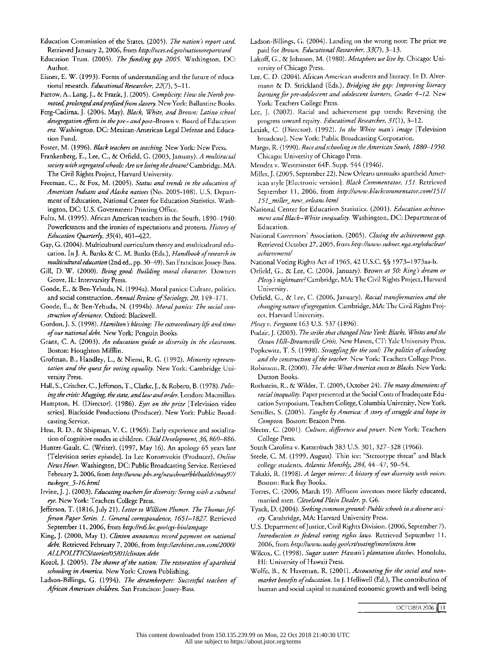- Education Commission of the States. (2005). The nation's report card. Retrieved January 2, 2006, from http://nces.ed.gov/nationsreportcard
- Education Trust. (2005). The funding gap 2005. Washington, DC: Author.
- Eisner, E. W. (1993). Forms of understanding and the future of educa tional research. Educational Researcher, 22(7), 5-11.
- Farrow, A., Lang, J., & Frank, J. (2005). Complicity: How the North promoted, prolonged and profited from slavery. New York: Ballantine Books.
- Ferg-Cadima, J. (2004, May). Black, White, and Brown: Latino school desegregation efforts in the pre- and post-Brown v. Board of Education era. Washington, DC: Mexican-American Legal Defense and Educa tion Fund.

Foster, M. (1996). Black teachers on teaching. New York: New Press.

- Frankenberg, E., Lee, C., & Orfield, G. (2003, January). A multiracial society with segregated schools: Are we losing the dream? Cambridge, MA: The Civil Rights Project, Harvard University.
- Freeman, C., & Fox, M. (2005). Status and trends in the education of American Indians and Alaska natives (No. 2005-108). U.S. Depart ment of Education, National Center for Education Statistics. Wash ington, DC: U.S. Government Printing Office.
- Fultz, M. (1995). African American teachers in the South, 1890-1940: Powerlessness and the ironies of expectations and protests. History of Education Quarterly, 35(4), 401-422.
- Gay, G. (2004). Multicultural curriculum theory and multicultural edu cation. In J. A. Banks & C. M. Banks (Eds.), Handbook ofresearch in multicultural education (2nd ed., pp. 30-49). San Francisco: Jossey-Bass.
- Gill, D. W. (2000). Being good: Building moral character. Downers Grove, IL: Intervarsity Press.
- Goode, E., & Ben-Yehuda, N. (1994a). Moral panics: Culture, politics, and social construction. Annual Review of Sociology, 20, 149-171.
- Goode, E., & Ben-Yehuda, N. (1994b). Moral panics: The social con struction of deviance. Oxford: Blackwell.
- Gordon, J. S. (1998). Hamilton's blessing: The extraordinary life and times of our national debt. New York: Penguin Books.
- Grant, C. A. (2003). An education guide to diversity in the classroom. Boston: Houghton Mifflin.
- Grofman, B., Handley, L., & Niemi, R. G. (1992). Minority represen tation and the quest for voting equality. New York: Cambridge Uni versity Press.
- Hall, S., Critcher, C., Jefferson, T., Clarke, J., & Roberts, B. (1978). Polic ing the crisis: Mugging, the state, and law and order. London: Macmillan.
- Hampton, H. (Director). (1986). Eyes on the prize [Television video series]. Blackside Productions (Producer). New York: Public Broad casting Service.
- Hess, R. D., & Shipman, V. C. (1965). Early experience and socializa tion of cognitive modes in children. *Child Development*, 36, 869–886.
- Hunter-Gault, C. (Writer). (1997, May 16). An apology 65 years late [Television series episode]. In Lee Koromvokis (Producer), Online News Hour. Washington, DC: Public Broadcasting Service. Retrieved February 2, 2006, from http://www.pbs.org/newshour/bb/health/may97/ tuskegee\_5-16.html
- Irvine, J. J. (2003). Educating teachers for diversity: Seeing with a cultural eye. New York: Teachers College Press.
- Jefferson, T. (1816, July 21). Letter to William Plumer. The Thomas Jef ferson Paper Series. 1. General correspondence, 1651-1827. Retrieved September 11, 2006, from http://rs6.loc.gov/cgi-bin/ampage
- King, J. (2000, May 1). Clinton announces record payment on national debt. Retrieved February 7, 2006, from http://archives.cnn.com/2000/ ALLPOLITICS/stories/05/O1/clinton.debt
- Kozol, J. (2005). The shame of the nation: The restoration of apartheid schooling in America. New York: Crown Publishing.
- Ladson-Billings, G. (1994). The dreamkeepers: Successful teachers of African American children. San Francisco: Jossey-Bass.
- Ladson-Billings, G. (2004). Landing on the wrong note: The price we paid for Brown. Educational Researcher, 33(7), 3-13.
- Lakoff, G., & Johnson, M. (1980). Metaphors we live by. Chicago: University of Chicago Press.
- Lee, C. D. (2004). African American students and literacy. In D. Alver mann & D. Strickland (Eds.), Bridging the gap: Improving literacy learning for pre-adolescent and adolescent learners, Grades 4-12. New York: Teachers College Press.
- Lee, J. (2002). Racial and achievement gap trends: Reversing the progress toward equity. Educational Researcher, 31(1), 3-12.
- Lesiak, C. (Director). (1992). In the White man's image [Television broadcast]. New York: Public Broadcasting Corporation.
- Margo, R. (1990). Race and schooling in the American South, 1880-1950. Chicago: University of Chicago Press.
- Mendez v. Westminster 64F. Supp. 544 (1946).
- Miller, J. (2005, September 22). New Orleans unmasks apartheid Amer ican style [Electronic version]. Black Commentator, 151. Retrieved September 11, 2006, from http://www.blackcommentator.com/151/ 151\_miller\_new\_orleans.html
- National Center for Education Statistics. (2001). Education achieve ment and Black-White inequality. Washington, DC: Department of Education.
- National Governors' Association. (2005). Closing the achievement gap. Retrieved October 27, 2005, from http://www.subnet. nga.org/educlear/ achievement/
- National Voting Rights Act of 1965, 42 U.S.C. §§ 1973-1973aa-b.
- Orfield, G., & Lee, C. (2004, January). Brown at 50: King's dream or Plessy's nightmare? Cambridge, MA: The Civil Rights Project, Harvard University.
- Orfield, G., & Lee, C. (2006, January). Racial transformation and the changing nature ofsegregation. Cambridge, MA: The Civil Rights Proj ect, Harvard University.
- Plessy v. Ferguson 163 U.S. 537 (1896).
- Podair, J. (2003). The strike that changed New York: Blacks, Whites and the Ocean Hill-Brownsville Crisis. New Haven, CT: Yale University Press.
- Popkewitz, T. S. (1998). Struggling for the soul: The politics of schooling and the construction of the teacher. New York: Teachers College Press.
- Robinson, R. (2000). The debt: What America owes to Blacks. New York: Dutton Books.
- Rothstein, R., & Wilder, T. (2005, October 24). The many dimensions of racial inequality. Paper presented at the Social Costs of Inadequate Edu cation Symposium, Teachers College, Columbia University, New York.
- Sentilles, S. (2005). Taught by America: A story of struggle and hope in Compton. Boston: Beacon Press.
- Slecter, C. (2001). Culture, difference and power. New York: Teachers College Press.
- South Carolina v. Katzenbach 383 U.S. 301, 327-328 (1966).
- Steele, C. M. (1999, August). Thin ice: "Stereotype threat" and Black college students. Atlantic Monthly, 284, 44-47, 50-54.
- Takaki, R. (1998). A larger mirror: A history of our diversity with voices. Boston: Back Bay Books.
- Torres, C. (2006, March 19). Affluent investors more likely educated, married men. Cleveland Plain Dealer, p. G6.
- Tyack, D. (2004). Seeking common ground: Public schools in a diverse soci ety. Cambridge, MA: Harvard University Press.
- U.S. Department of Justice, Civil Rights Division. (2006, September 7). Introduction to federal voting rights laws. Retrieved September 11, 2006, from http://www.usdoj.gov/crt/voting/intro/intro.htm
- Wilcox, C. (1998). Sugar water: Hawaii's plantation ditches. Honolulu, HI: University of Hawaii Press.
- Wolfe, B., & Haveman, R. (2001). Accounting for the social and non market benefits of education. In J. Helliwell (Ed.), The contribution of human and social capital to sustained economic growth and well-being

OCTOBER 2006 | 11